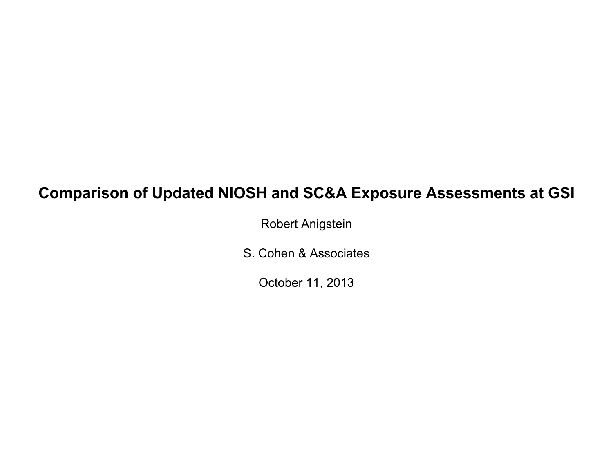# **Comparison of Updated NIOSH and SC&A Exposure Assessments at GSI**

Robert Anigstein

S. Cohen & Associates

October 11, 2013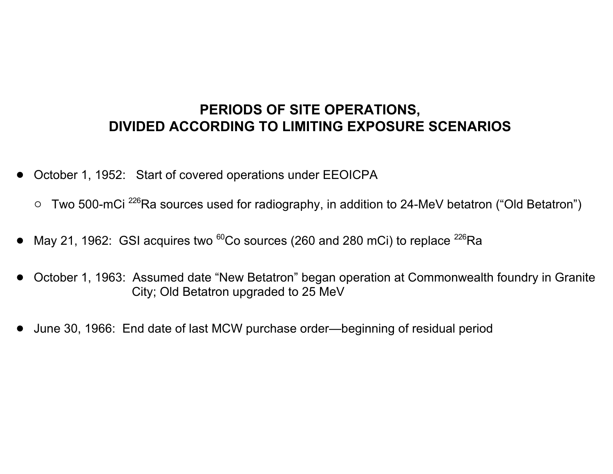### **PERIODS OF SITE OPERATIONS, DIVIDED ACCORDING TO LIMITING EXPOSURE SCENARIOS**

- October 1, 1952: Start of covered operations under EEOICPA
	- $\circ$  Two 500-mCi<sup>226</sup>Ra sources used for radiography, in addition to 24-MeV betatron ("Old Betatron")
- May 21, 1962: GSI acquires two  ${}^{60}$ Co sources (260 and 280 mCi) to replace  ${}^{226}$ Ra
- October 1, 1963: Assumed date "New Betatron" began operation at Commonwealth foundry in Granite City; Old Betatron upgraded to 25 MeV
- June 30, 1966: End date of last MCW purchase order—beginning of residual period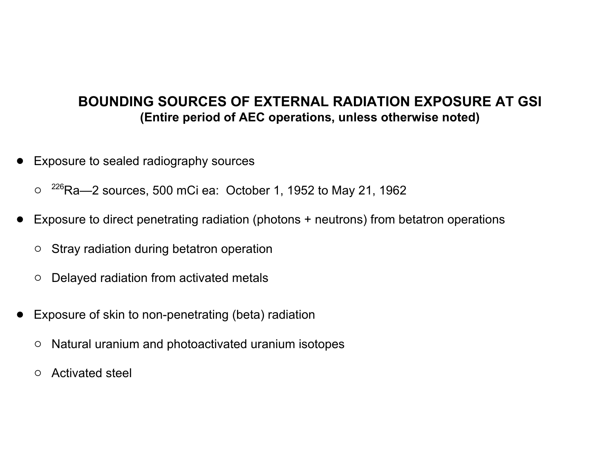#### **BOUNDING SOURCES OF EXTERNAL RADIATION EXPOSURE AT GSI (Entire period of AEC operations, unless otherwise noted)**

- Exposure to sealed radiography sources
	- $\circ$  <sup>226</sup>Ra—2 sources, 500 mCi ea: October 1, 1952 to May 21, 1962
- Exposure to direct penetrating radiation (photons + neutrons) from betatron operations
	- o Stray radiation during betatron operation
	- o Delayed radiation from activated metals
- Exposure of skin to non-penetrating (beta) radiation
	- o Natural uranium and photoactivated uranium isotopes
	- o Activated steel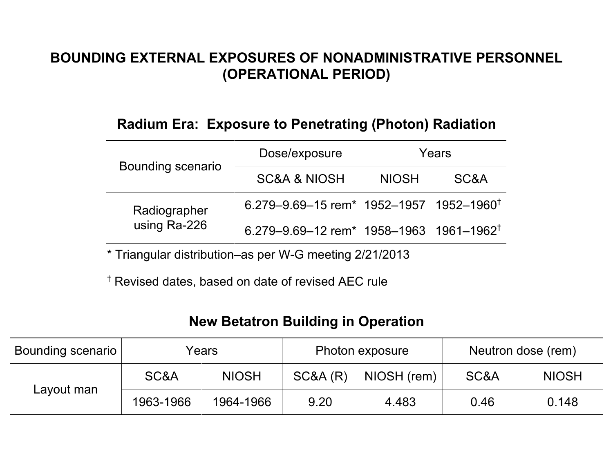### **BOUNDING EXTERNAL EXPOSURES OF NONADMINISTRATIVE PERSONNEL (OPERATIONAL PERIOD)**

#### **Radium Era: Exposure to Penetrating (Photon) Radiation**

|                              | Dose/exposure                                                   | Years |      |  |
|------------------------------|-----------------------------------------------------------------|-------|------|--|
| <b>Bounding scenario</b>     | <b>SC&amp;A &amp; NIOSH</b><br><b>NIOSH</b>                     |       | SC&A |  |
| Radiographer<br>using Ra-226 | 6.279-9.69-15 rem <sup>*</sup> 1952-1957 1952-1960 <sup>†</sup> |       |      |  |
|                              | 6.279-9.69-12 rem <sup>*</sup> 1958-1963 1961-1962 <sup>†</sup> |       |      |  |

\* Triangular distribution–as per W-G meeting 2/21/2013

† Revised dates, based on date of revised AEC rule

## **New Betatron Building in Operation**

| Bounding scenario | Years     |              | Photon exposure |             | Neutron dose (rem) |              |
|-------------------|-----------|--------------|-----------------|-------------|--------------------|--------------|
| Layout man        | SC&A      | <b>NIOSH</b> | SC&A(R)         | NIOSH (rem) | SC&A               | <b>NIOSH</b> |
|                   | 1963-1966 | 1964-1966    | 9.20            | 4.483       | 0.46               | 0.148        |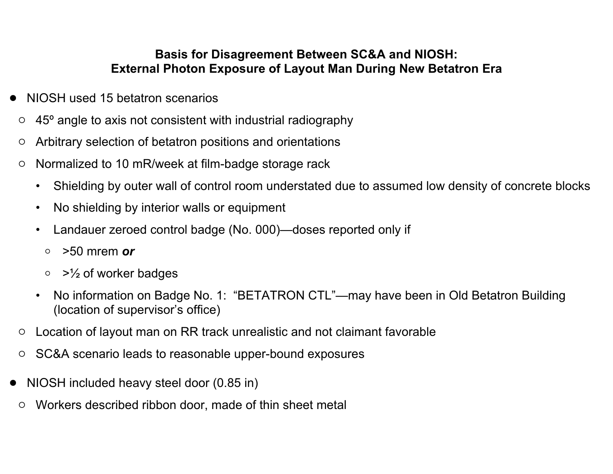#### **Basis for Disagreement Between SC&A and NIOSH: External Photon Exposure of Layout Man During New Betatron Era**

- NIOSH used 15 betatron scenarios
- $\circ$  45<sup>o</sup> angle to axis not consistent with industrial radiography
- o Arbitrary selection of betatron positions and orientations
- $\circ$  Normalized to 10 mR/week at film-badge storage rack
	- Shielding by outer wall of control room understated due to assumed low density of concrete blocks
	- No shielding by interior walls or equipment
	- Landauer zeroed control badge (No. 000)—doses reported only if
		- o >50 mrem *or*
		- $\circ$  >  $\frac{1}{2}$  of worker badges
	- No information on Badge No. 1: "BETATRON CTL"—may have been in Old Betatron Building (location of supervisor's office)
- $\circ$  Location of layout man on RR track unrealistic and not claimant favorable
- SC&A scenario leads to reasonable upper-bound exposures
- NIOSH included heavy steel door (0.85 in)
	- o Workers described ribbon door, made of thin sheet metal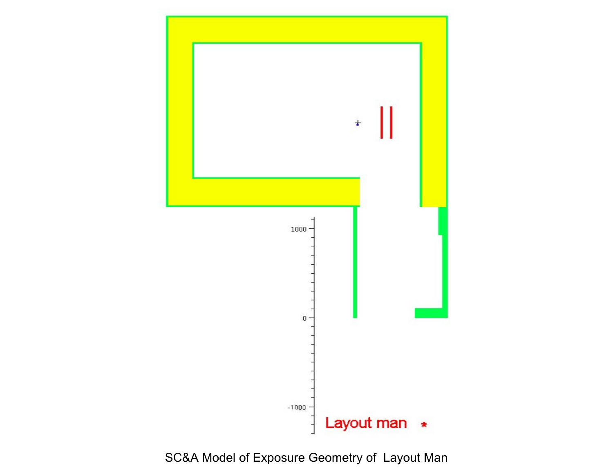

## SC&A Model of Exposure Geometry of Layout Man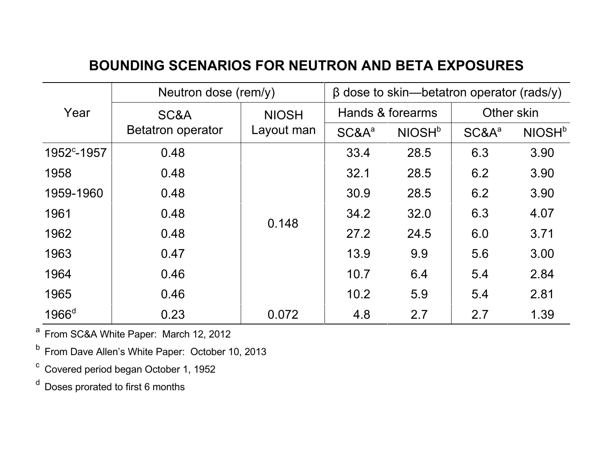## **BOUNDING SCENARIOS FOR NEUTRON AND BETA EXPOSURES**

|                         | Neutron dose (rem/y)     | $\beta$ dose to skin—betatron operator (rads/y) |                   |                    |            |                           |
|-------------------------|--------------------------|-------------------------------------------------|-------------------|--------------------|------------|---------------------------|
| Year                    | SC&A                     | <b>NIOSH</b>                                    | Hands & forearms  |                    | Other skin |                           |
|                         | <b>Betatron operator</b> | Layout man                                      | SC&A <sup>a</sup> | NIOSH <sup>b</sup> | $SC&A^a$   | <b>NIOSH</b> <sup>b</sup> |
| 1952 <sup>c</sup> -1957 | 0.48                     |                                                 | 33.4              | 28.5               | 6.3        | 3.90                      |
| 1958                    | 0.48                     |                                                 | 32.1              | 28.5               | 6.2        | 3.90                      |
| 1959-1960               | 0.48                     |                                                 | 30.9              | 28.5               | 6.2        | 3.90                      |
| 1961                    | 0.48                     | 0.148                                           | 34.2              | 32.0               | 6.3        | 4.07                      |
| 1962                    | 0.48                     |                                                 | 27.2              | 24.5               | 6.0        | 3.71                      |
| 1963                    | 0.47                     |                                                 | 13.9              | 9.9                | 5.6        | 3.00                      |
| 1964                    | 0.46                     |                                                 | 10.7              | 6.4                | 5.4        | 2.84                      |
| 1965                    | 0.46                     |                                                 | 10.2              | 5.9                | 5.4        | 2.81                      |
| $1966$ <sup>d</sup>     | 0.23                     | 0.072                                           | 4.8               | 2.7                | 2.7        | 1.39                      |

<sup>a</sup> From SC&A White Paper: March 12, 2012

<sup>b</sup> From Dave Allen's White Paper: October 10, 2013

 $\textdegree$  Covered period began October 1, 1952

<sup>d</sup> Doses prorated to first 6 months